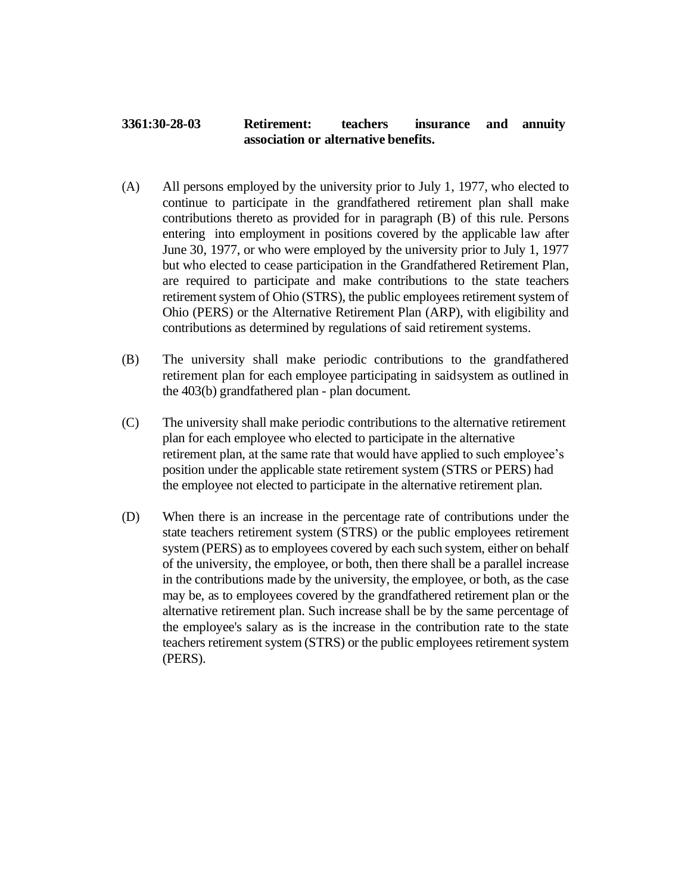## **3361:30-28-03 Retirement: teachers insurance and annuity association or alternative benefits.**

- (A) All persons employed by the university prior to July 1, 1977, who elected to continue to participate in the grandfathered retirement plan shall make contributions thereto as provided for in paragraph (B) of this rule. Persons entering into employment in positions covered by the applicable law after June 30, 1977, or who were employed by the university prior to July 1, 1977 but who elected to cease participation in the Grandfathered Retirement Plan, are required to participate and make contributions to the state teachers retirement system of Ohio (STRS), the public employees retirement system of Ohio (PERS) or the Alternative Retirement Plan (ARP), with eligibility and contributions as determined by regulations of said retirement systems.
- (B) The university shall make periodic contributions to the grandfathered retirement plan for each employee participating in saidsystem as outlined in the 403(b) grandfathered plan - plan document.
- (C) The university shall make periodic contributions to the alternative retirement plan for each employee who elected to participate in the alternative retirement plan, at the same rate that would have applied to such employee's position under the applicable state retirement system (STRS or PERS) had the employee not elected to participate in the alternative retirement plan.
- (D) When there is an increase in the percentage rate of contributions under the state teachers retirement system (STRS) or the public employees retirement system (PERS) as to employees covered by each such system, either on behalf of the university, the employee, or both, then there shall be a parallel increase in the contributions made by the university, the employee, or both, as the case may be, as to employees covered by the grandfathered retirement plan or the alternative retirement plan. Such increase shall be by the same percentage of the employee's salary as is the increase in the contribution rate to the state teachers retirement system (STRS) or the public employees retirement system (PERS).